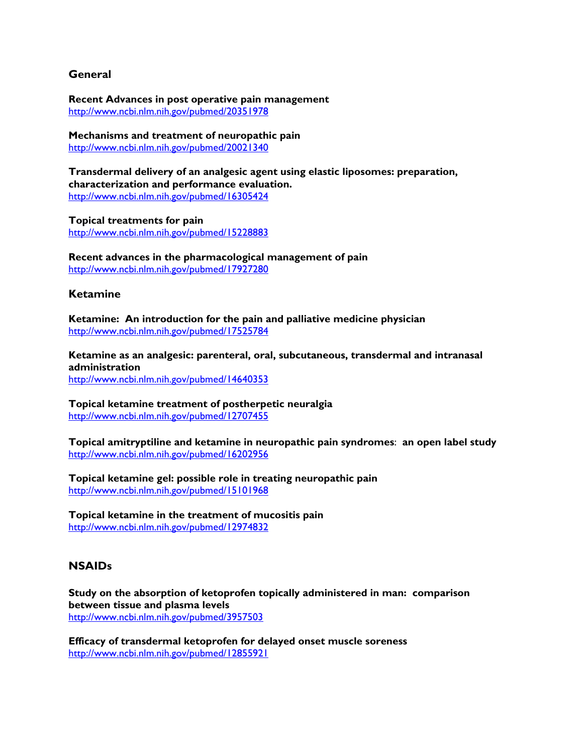## **General**

**Recent Advances in post operative pain management**  http://www.ncbi.nlm.nih.gov/pubmed/20351978

**Mechanisms and treatment of neuropathic pain**  http://www.ncbi.nlm.nih.gov/pubmed/20021340

**Transdermal delivery of an analgesic agent using elastic liposomes: preparation, characterization and performance evaluation.**  http://www.ncbi.nlm.nih.gov/pubmed/16305424

**Topical treatments for pain**  http://www.ncbi.nlm.nih.gov/pubmed/15228883

**Recent advances in the pharmacological management of pain**  http://www.ncbi.nlm.nih.gov/pubmed/17927280

#### **Ketamine**

**Ketamine: An introduction for the pain and palliative medicine physician**  http://www.ncbi.nlm.nih.gov/pubmed/17525784

**Ketamine as an analgesic: parenteral, oral, subcutaneous, transdermal and intranasal administration**  http://www.ncbi.nlm.nih.gov/pubmed/14640353

**Topical ketamine treatment of postherpetic neuralgia**  http://www.ncbi.nlm.nih.gov/pubmed/12707455

**Topical amitryptiline and ketamine in neuropathic pain syndromes**: **an open label study**  http://www.ncbi.nlm.nih.gov/pubmed/16202956

**Topical ketamine gel: possible role in treating neuropathic pain**  http://www.ncbi.nlm.nih.gov/pubmed/15101968

**Topical ketamine in the treatment of mucositis pain**  http://www.ncbi.nlm.nih.gov/pubmed/12974832

# **NSAIDs**

**Study on the absorption of ketoprofen topically administered in man: comparison between tissue and plasma levels**  http://www.ncbi.nlm.nih.gov/pubmed/3957503

**Efficacy of transdermal ketoprofen for delayed onset muscle soreness**  http://www.ncbi.nlm.nih.gov/pubmed/12855921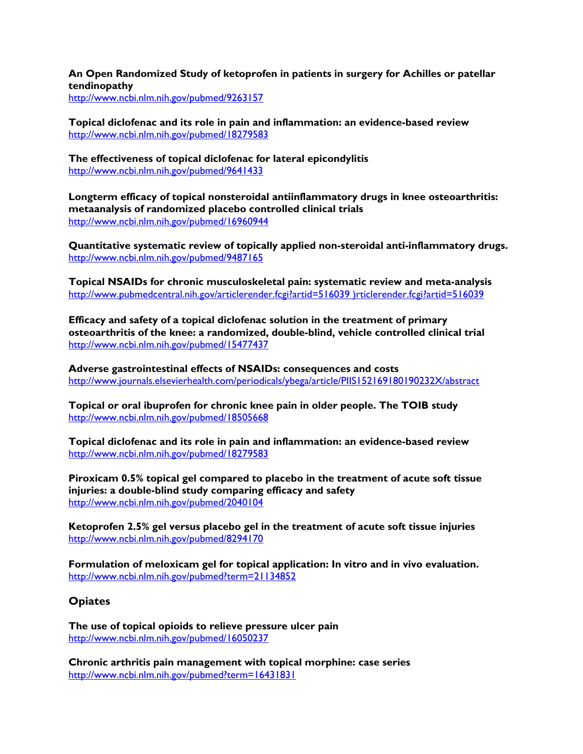**An Open Randomized Study of ketoprofen in patients in surgery for Achilles or patellar tendinopathy** 

http://www.ncbi.nlm.nih.gov/pubmed/9263157

**Topical diclofenac and its role in pain and inflammation: an evidence-based review**  http://www.ncbi.nlm.nih.gov/pubmed/18279583

**The effectiveness of topical diclofenac for lateral epicondylitis**  http://www.ncbi.nlm.nih.gov/pubmed/9641433

**Longterm efficacy of topical nonsteroidal antiinflammatory drugs in knee osteoarthritis: metaanalysis of randomized placebo controlled clinical trials**  http://www.ncbi.nlm.nih.gov/pubmed/16960944

**Quantitative systematic review of topically applied non-steroidal anti-inflammatory drugs.**  http://www.ncbi.nlm.nih.gov/pubmed/9487165

**Topical NSAIDs for chronic musculoskeletal pain: systematic review and meta-analysis**  http://www.pubmedcentral.nih.gov/articlerender.fcgi?artid=516039 )rticlerender.fcgi?artid=516039

**Efficacy and safety of a topical diclofenac solution in the treatment of primary osteoarthritis of the knee: a randomized, double-blind, vehicle controlled clinical trial**  http://www.ncbi.nlm.nih.gov/pubmed/15477437

**Adverse gastrointestinal effects of NSAIDs: consequences and costs**  http://www.journals.elsevierhealth.com/periodicals/ybega/article/PIIS152169180190232X/abstract

**Topical or oral ibuprofen for chronic knee pain in older people. The TOIB study**  http://www.ncbi.nlm.nih.gov/pubmed/18505668

**Topical diclofenac and its role in pain and inflammation: an evidence-based review**  http://www.ncbi.nlm.nih.gov/pubmed/18279583

**Piroxicam 0.5% topical gel compared to placebo in the treatment of acute soft tissue injuries: a double-blind study comparing efficacy and safety**  http://www.ncbi.nlm.nih.gov/pubmed/2040104

**Ketoprofen 2.5% gel versus placebo gel in the treatment of acute soft tissue injuries**  http://www.ncbi.nlm.nih.gov/pubmed/8294170

**Formulation of meloxicam gel for topical application: In vitro and in vivo evaluation.**  http://www.ncbi.nlm.nih.gov/pubmed?term=21134852

#### **Opiates**

**The use of topical opioids to relieve pressure ulcer pain**  http://www.ncbi.nlm.nih.gov/pubmed/16050237

**Chronic arthritis pain management with topical morphine: case series**  http://www.ncbi.nlm.nih.gov/pubmed?term=16431831